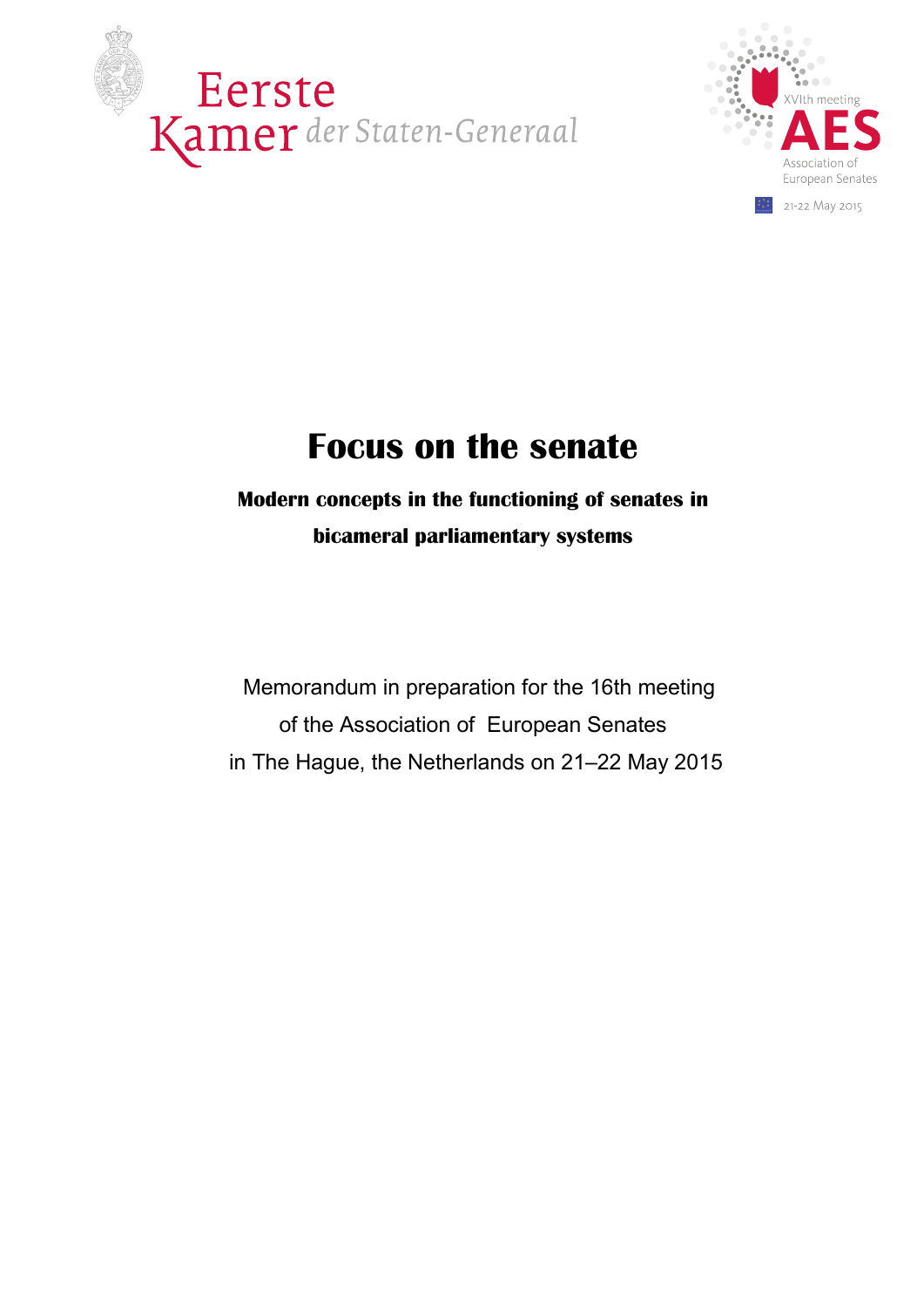



# **Focus on the senate**

## **Modern concepts in the functioning of senates in bicameral parliamentary systems**

 Memorandum in preparation for the 16th meeting of the Association of European Senates in The Hague, the Netherlands on 21–22 May 2015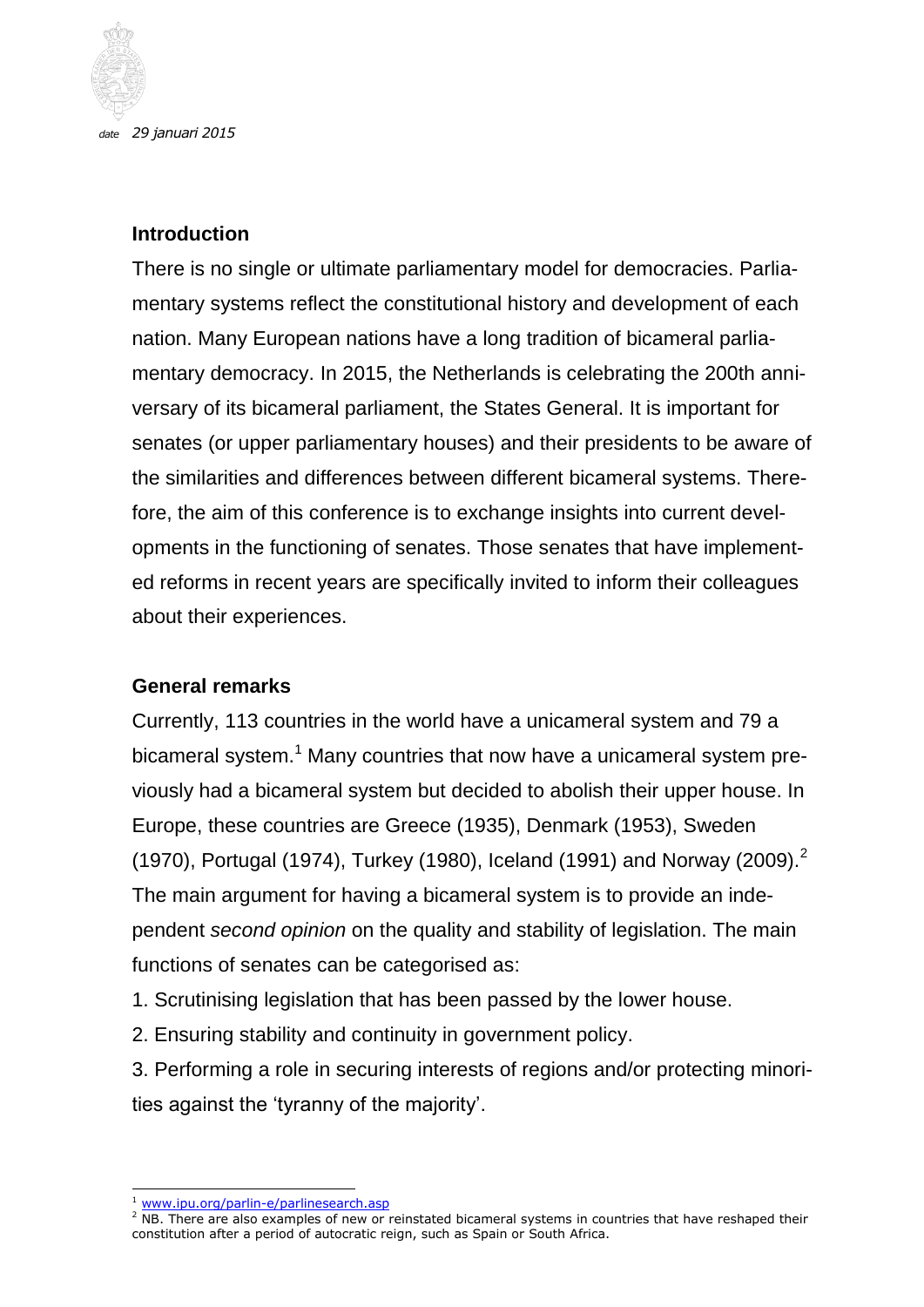

*date 29 januari 2015*

#### **Introduction**

There is no single or ultimate parliamentary model for democracies. Parliamentary systems reflect the constitutional history and development of each nation. Many European nations have a long tradition of bicameral parliamentary democracy. In 2015, the Netherlands is celebrating the 200th anniversary of its bicameral parliament, the States General. It is important for senates (or upper parliamentary houses) and their presidents to be aware of the similarities and differences between different bicameral systems. Therefore, the aim of this conference is to exchange insights into current developments in the functioning of senates. Those senates that have implemented reforms in recent years are specifically invited to inform their colleagues about their experiences.

#### **General remarks**

Currently, 113 countries in the world have a unicameral system and 79 a bicameral system.<sup>1</sup> Many countries that now have a unicameral system previously had a bicameral system but decided to abolish their upper house. In Europe, these countries are Greece (1935), Denmark (1953), Sweden (1970), Portugal (1974), Turkey (1980), Iceland (1991) and Norway (2009).<sup>2</sup> The main argument for having a bicameral system is to provide an independent *second opinion* on the quality and stability of legislation. The main functions of senates can be categorised as:

1. Scrutinising legislation that has been passed by the lower house.

2. Ensuring stability and continuity in government policy.

3. Performing a role in securing interests of regions and/or protecting minorities against the 'tyranny of the majority'.

<sup>-</sup><sup>1</sup> [www.ipu.org/parlin-e/parlinesearch.asp](http://www.ipu.org/parlin-e/parlinesearch.asp)

 $2$  NB. There are also examples of new or reinstated bicameral systems in countries that have reshaped their constitution after a period of autocratic reign, such as Spain or South Africa.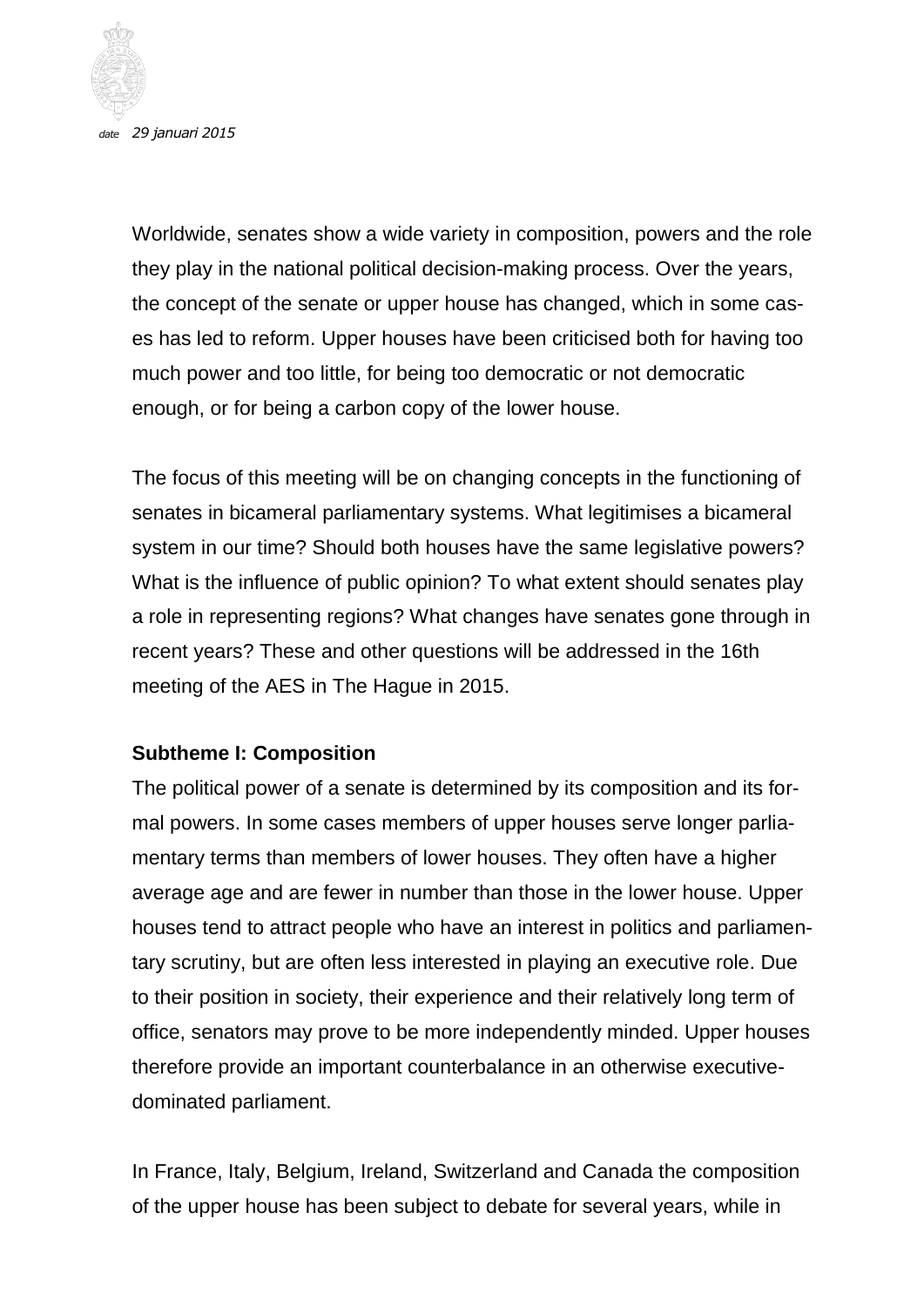

*date 29 januari 2015*

Worldwide, senates show a wide variety in composition, powers and the role they play in the national political decision-making process. Over the years, the concept of the senate or upper house has changed, which in some cases has led to reform. Upper houses have been criticised both for having too much power and too little, for being too democratic or not democratic enough, or for being a carbon copy of the lower house.

The focus of this meeting will be on changing concepts in the functioning of senates in bicameral parliamentary systems. What legitimises a bicameral system in our time? Should both houses have the same legislative powers? What is the influence of public opinion? To what extent should senates play a role in representing regions? What changes have senates gone through in recent years? These and other questions will be addressed in the 16th meeting of the AES in The Hague in 2015.

#### **Subtheme I: Composition**

The political power of a senate is determined by its composition and its formal powers. In some cases members of upper houses serve longer parliamentary terms than members of lower houses. They often have a higher average age and are fewer in number than those in the lower house. Upper houses tend to attract people who have an interest in politics and parliamentary scrutiny, but are often less interested in playing an executive role. Due to their position in society, their experience and their relatively long term of office, senators may prove to be more independently minded. Upper houses therefore provide an important counterbalance in an otherwise executivedominated parliament.

In France, Italy, Belgium, Ireland, Switzerland and Canada the composition of the upper house has been subject to debate for several years, while in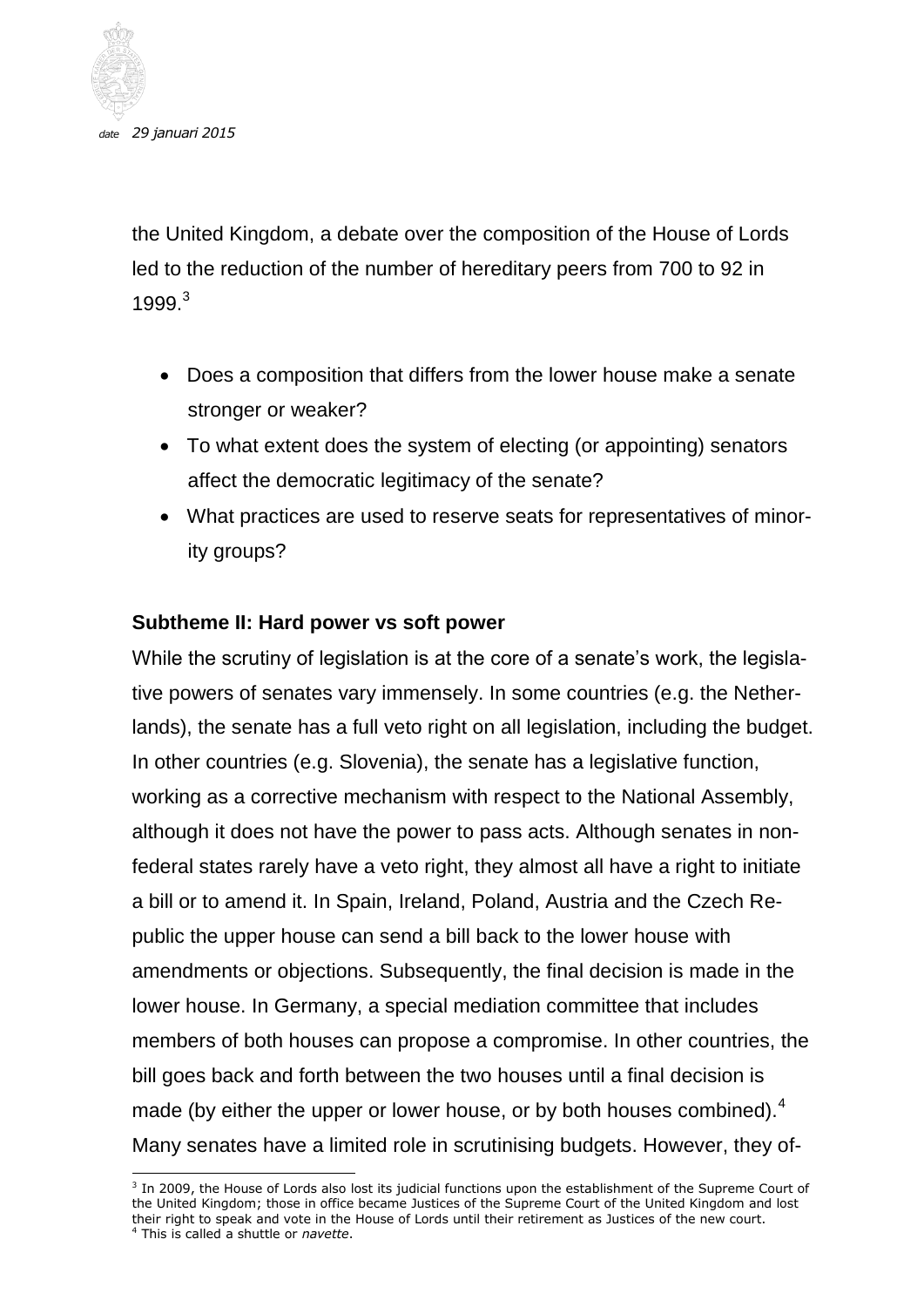

the United Kingdom, a debate over the composition of the House of Lords led to the reduction of the number of hereditary peers from 700 to 92 in 1999.<sup>3</sup>

- Does a composition that differs from the lower house make a senate stronger or weaker?
- To what extent does the system of electing (or appointing) senators affect the democratic legitimacy of the senate?
- What practices are used to reserve seats for representatives of minority groups?

#### **Subtheme II: Hard power vs soft power**

While the scrutiny of legislation is at the core of a senate's work, the legislative powers of senates vary immensely. In some countries (e.g. the Netherlands), the senate has a full veto right on all legislation, including the budget. In other countries (e.g. Slovenia), the senate has a legislative function, working as a corrective mechanism with respect to the National Assembly, although it does not have the power to pass acts. Although senates in nonfederal states rarely have a veto right, they almost all have a right to initiate a bill or to amend it. In Spain, Ireland, Poland, Austria and the Czech Republic the upper house can send a bill back to the lower house with amendments or objections. Subsequently, the final decision is made in the lower house. In Germany, a special mediation committee that includes members of both houses can propose a compromise. In other countries, the bill goes back and forth between the two houses until a final decision is made (by either the upper or lower house, or by both houses combined).<sup>4</sup> Many senates have a limited role in scrutinising budgets. However, they of-

 3 In 2009, the House of Lords also lost its judicial functions upon the establishment of the Supreme Court of the United Kingdom; those in office became Justices of the Supreme Court of the United Kingdom and lost their right to speak and vote in the House of Lords until their retirement as Justices of the new court. <sup>4</sup> This is called a shuttle or *navette*.